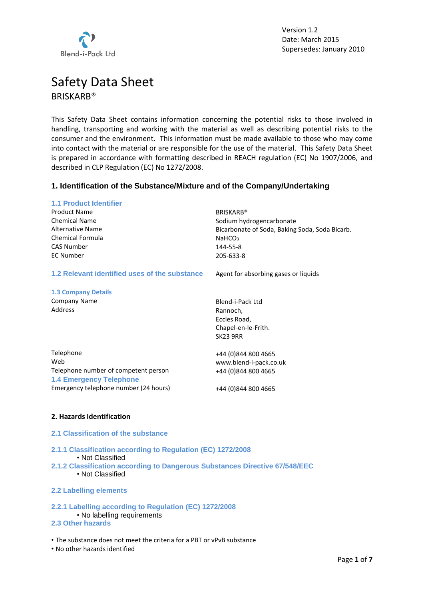

# Safety Data Sheet BRISKARB®

This Safety Data Sheet contains information concerning the potential risks to those involved in handling, transporting and working with the material as well as describing potential risks to the consumer and the environment. This information must be made available to those who may come into contact with the material or are responsible for the use of the material. This Safety Data Sheet is prepared in accordance with formatting described in REACH regulation (EC) No 1907/2006, and described in CLP Regulation (EC) No 1272/2008.

## **1. Identification of the Substance/Mixture and of the Company/Undertaking**

| <b>1.1 Product Identifier</b>                                          |                                                |
|------------------------------------------------------------------------|------------------------------------------------|
| <b>Product Name</b>                                                    | <b>BRISKARB®</b>                               |
| <b>Chemical Name</b>                                                   | Sodium hydrogencarbonate                       |
| <b>Alternative Name</b>                                                | Bicarbonate of Soda, Baking Soda, Soda Bicarb. |
| <b>Chemical Formula</b>                                                | NaHCO <sub>3</sub>                             |
| <b>CAS Number</b>                                                      | 144-55-8                                       |
| <b>EC Number</b>                                                       | 205-633-8                                      |
| 1.2 Relevant identified uses of the substance                          | Agent for absorbing gases or liquids           |
| <b>1.3 Company Details</b>                                             |                                                |
| <b>Company Name</b>                                                    | Blend-i-Pack Ltd                               |
| Address                                                                | Rannoch,                                       |
|                                                                        | Eccles Road,                                   |
|                                                                        | Chapel-en-le-Frith.                            |
|                                                                        | <b>SK23 9RR</b>                                |
| Telephone                                                              | +44 (0)844 800 4665                            |
| Web                                                                    | www.blend-i-pack.co.uk                         |
| Telephone number of competent person<br><b>1.4 Emergency Telephone</b> | +44 (0)844 800 4665                            |
| Emergency telephone number (24 hours)                                  | +44 (0)844 800 4665                            |
|                                                                        |                                                |

## **2. Hazards Identification**

## **2.1 Classification of the substance**

**2.1.1 Classification according to Regulation (EC) 1272/2008** • Not Classified **2.1.2 Classification according to Dangerous Substances Directive 67/548/EEC** • Not Classified

## **2.2 Labelling elements**

# **2.2.1 Labelling according to Regulation (EC) 1272/2008**

• No labelling requirements **2.3 Other hazards**

• The substance does not meet the criteria for a PBT or vPvB substance

• No other hazards identified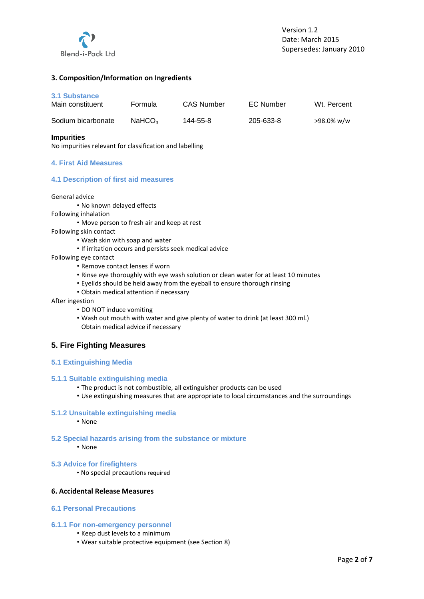

## **3. Composition/Information on Ingredients**

#### **3.1 Substance**

| Main constituent   | Formula            | CAS Number | EC Number | Wt. Percent |
|--------------------|--------------------|------------|-----------|-------------|
| Sodium bicarbonate | NAHCO <sub>3</sub> | 144-55-8   | 205-633-8 | >98.0% w/w  |

## **Impurities**

No impurities relevant for classification and labelling

## **4. First Aid Measures**

## **4.1 Description of first aid measures**

#### General advice

- No known delayed effects
- Following inhalation
	- Move person to fresh air and keep at rest
- Following skin contact
	- Wash skin with soap and water
	- If irritation occurs and persists seek medical advice
- Following eye contact
	- Remove contact lenses if worn
	- Rinse eye thoroughly with eye wash solution or clean water for at least 10 minutes
	- Eyelids should be held away from the eyeball to ensure thorough rinsing
	- Obtain medical attention if necessary

#### After ingestion

- DO NOT induce vomiting
- Wash out mouth with water and give plenty of water to drink (at least 300 ml.) Obtain medical advice if necessary

## **5. Fire Fighting Measures**

## **5.1 Extinguishing Media**

## **5.1.1 Suitable extinguishing media**

- The product is not combustible, all extinguisher products can be used
- Use extinguishing measures that are appropriate to local circumstances and the surroundings

#### **5.1.2 Unsuitable extinguishing media**

• None

- **5.2 Special hazards arising from the substance or mixture** • None
	-
- **5.3 Advice for firefighters**
	- No special precautions required

## **6. Accidental Release Measures**

#### **6.1 Personal Precautions**

## **6.1.1 For non**‐**emergency personnel**

- Keep dust levels to a minimum
- Wear suitable protective equipment (see Section 8)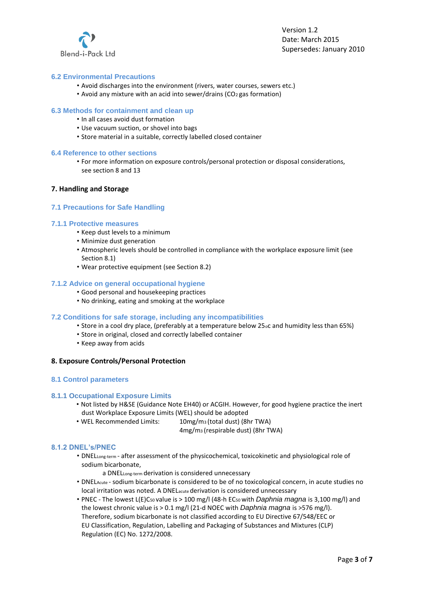

## **6.2 Environmental Precautions**

- Avoid discharges into the environment (rivers, water courses, sewers etc.)
- Avoid any mixture with an acid into sewer/drains (CO2 gas formation)

## **6.3 Methods for containment and clean up**

- In all cases avoid dust formation
- Use vacuum suction, or shovel into bags
- Store material in a suitable, correctly labelled closed container

#### **6.4 Reference to other sections**

• For more information on exposure controls/personal protection or disposal considerations, see section 8 and 13

#### **7. Handling and Storage**

## **7.1 Precautions for Safe Handling**

#### **7.1.1 Protective measures**

- Keep dust levels to a minimum
- Minimize dust generation
- Atmospheric levels should be controlled in compliance with the workplace exposure limit (see Section 8.1)
- Wear protective equipment (see Section 8.2)

## **7.1.2 Advice on general occupational hygiene**

- Good personal and housekeeping practices
- No drinking, eating and smoking at the workplace

## **7.2 Conditions for safe storage, including any incompatibilities**

- Store in a cool dry place, (preferably at a temperature below 25oc and humidity less than 65%)
- Store in original, closed and correctly labelled container
- Keep away from acids

## **8. Exposure Controls/Personal Protection**

#### **8.1 Control parameters**

## **8.1.1 Occupational Exposure Limits**

- Not listed by H&SE (Guidance Note EH40) or ACGIH. However, for good hygiene practice the inert dust Workplace Exposure Limits (WEL) should be adopted
- WEL Recommended Limits: 10mg/m3 (total dust) (8hr TWA)

4mg/m3 (respirable dust) (8hr TWA)

#### **8.1.2 DNEL's/PNEC**

- DNELLong-term after assessment of the physicochemical, toxicokinetic and physiological role of sodium bicarbonate,
	- a DNELLong‐term derivation is considered unnecessary
- DNELAcute ‐ sodium bicarbonate is considered to be of no toxicological concern, in acute studies no local irritation was noted. A DNELacute derivation is considered unnecessary
- PNEC ‐ The lowest L(E)C50 value is > 100 mg/l (48‐h EC50 with *Daphnia magna* is 3,100 mg/l) and the lowest chronic value is > 0.1 mg/l (21‐d NOEC with *Daphnia magna* is >576 mg/l). Therefore, sodium bicarbonate is not classified according to EU Directive 67/548/EEC or EU Classification, Regulation, Labelling and Packaging of Substances and Mixtures (CLP) Regulation (EC) No. 1272/2008.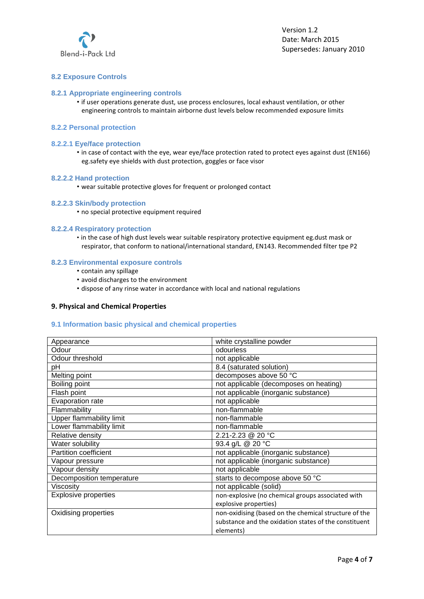

## **8.2 Exposure Controls**

## **8.2.1 Appropriate engineering controls**

• if user operations generate dust, use process enclosures, local exhaust ventilation, or other engineering controls to maintain airborne dust levels below recommended exposure limits

## **8.2.2 Personal protection**

## **8.2.2.1 Eye/face protection**

• in case of contact with the eye, wear eye/face protection rated to protect eyes against dust (EN166) eg.safety eye shields with dust protection, goggles or face visor

#### **8.2.2.2 Hand protection**

• wear suitable protective gloves for frequent or prolonged contact

#### **8.2.2.3 Skin/body protection**

• no special protective equipment required

#### **8.2.2.4 Respiratory protection**

• in the case of high dust levels wear suitable respiratory protective equipment eg.dust mask or respirator, that conform to national/international standard, EN143. Recommended filter tpe P2

## **8.2.3 Environmental exposure controls**

- contain any spillage
- avoid discharges to the environment
- dispose of any rinse water in accordance with local and national regulations

## **9. Physical and Chemical Properties**

## **9.1 Information basic physical and chemical properties**

| Appearance                   | white crystalline powder                              |  |
|------------------------------|-------------------------------------------------------|--|
| Odour                        | odourless                                             |  |
| Odour threshold              | not applicable                                        |  |
| pH                           | 8.4 (saturated solution)                              |  |
| Melting point                | decomposes above 50 °C                                |  |
| Boiling point                | not applicable (decomposes on heating)                |  |
| Flash point                  | not applicable (inorganic substance)                  |  |
| Evaporation rate             | not applicable                                        |  |
| Flammability                 | non-flammable                                         |  |
| Upper flammability limit     | non-flammable                                         |  |
| Lower flammability limit     | non-flammable                                         |  |
| Relative density             | 2.21-2.23 @ 20 °C                                     |  |
| Water solubility             | 93.4 g/L @ 20 °C                                      |  |
| <b>Partition coefficient</b> | not applicable (inorganic substance)                  |  |
| Vapour pressure              | not applicable (inorganic substance)                  |  |
| Vapour density               | not applicable                                        |  |
| Decomposition temperature    | starts to decompose above 50 °C                       |  |
| Viscosity                    | not applicable (solid)                                |  |
| <b>Explosive properties</b>  | non-explosive (no chemical groups associated with     |  |
|                              | explosive properties)                                 |  |
| Oxidising properties         | non-oxidising (based on the chemical structure of the |  |
|                              | substance and the oxidation states of the constituent |  |
|                              | elements)                                             |  |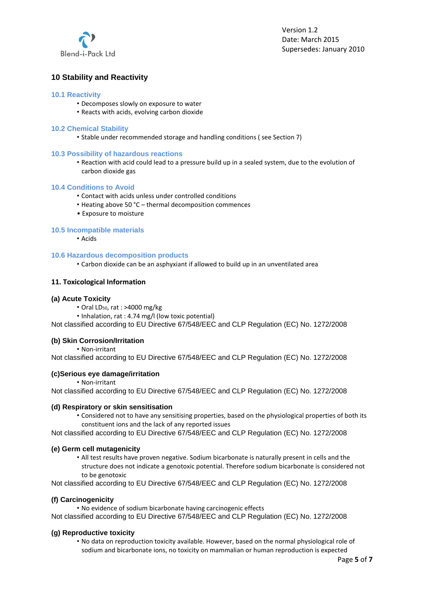

## **10 Stability and Reactivity**

## **10.1 Reactivity**

- Decomposes slowly on exposure to water
- Reacts with acids, evolving carbon dioxide

#### **10.2 Chemical Stability**

• Stable under recommended storage and handling conditions ( see Section 7)

#### **10.3 Possibility of hazardous reactions**

• Reaction with acid could lead to a pressure build up in a sealed system, due to the evolution of carbon dioxide gas

#### **10.4 Conditions to Avoid**

- Contact with acids unless under controlled conditions
- Heating above 50 °C thermal decomposition commences
- Exposure to moisture

## **10.5 Incompatible materials**

• Acids

#### **10.6 Hazardous decomposition products**

• Carbon dioxide can be an asphyxiant if allowed to build up in an unventilated area

## **11. Toxicological Information**

#### **(a) Acute Toxicity**

- Oral LD<sub>50</sub>, rat : >4000 mg/kg
- Inhalation, rat : 4.74 mg/l (low toxic potential)

Not classified according to EU Directive 67/548/EEC and CLP Regulation (EC) No. 1272/2008

## **(b) Skin Corrosion/Irritation**

• Non‐irritant

Not classified according to EU Directive 67/548/EEC and CLP Regulation (EC) No. 1272/2008

## **(c)Serious eye damage/irritation**

• Non‐irritant

Not classified according to EU Directive 67/548/EEC and CLP Regulation (EC) No. 1272/2008

## **(d) Respiratory or skin sensitisation**

• Considered not to have any sensitising properties, based on the physiological properties of both its constituent ions and the lack of any reported issues

Not classified according to EU Directive 67/548/EEC and CLP Regulation (EC) No. 1272/2008

## **(e) Germ cell mutagenicity**

• All test results have proven negative. Sodium bicarbonate is naturally present in cells and the structure does not indicate a genotoxic potential. Therefore sodium bicarbonate is considered not to be genotoxic

Not classified according to EU Directive 67/548/EEC and CLP Regulation (EC) No. 1272/2008

## **(f) Carcinogenicity**

• No evidence of sodium bicarbonate having carcinogenic effects

Not classified according to EU Directive 67/548/EEC and CLP Regulation (EC) No. 1272/2008

## **(g) Reproductive toxicity**

• No data on reproduction toxicity available. However, based on the normal physiological role of sodium and bicarbonate ions, no toxicity on mammalian or human reproduction is expected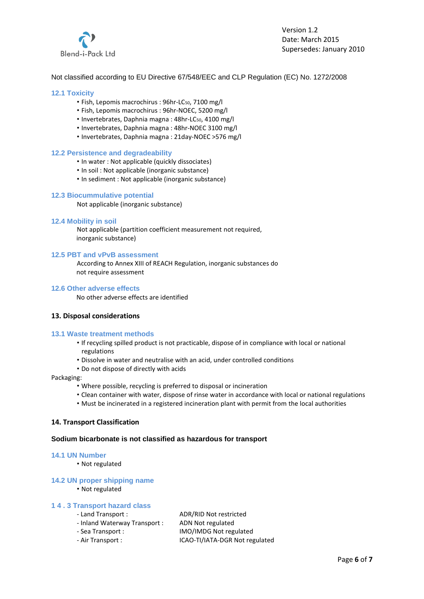

## Not classified according to EU Directive 67/548/EEC and CLP Regulation (EC) No. 1272/2008

#### **12.1 Toxicity**

- Fish, Lepomis macrochirus : 96hr-LC<sub>50</sub>, 7100 mg/l
- Fish, Lepomis macrochirus : 96hr‐NOEC, 5200 mg/l
- Invertebrates, Daphnia magna : 48hr‐LC50, 4100 mg/l
- Invertebrates, Daphnia magna : 48hr‐NOEC 3100 mg/l
- Invertebrates, Daphnia magna : 21day‐NOEC >576 mg/l

#### **12.2 Persistence and degradeability**

- In water : Not applicable (quickly dissociates)
- In soil : Not applicable (inorganic substance)
- In sediment : Not applicable (inorganic substance)

#### **12.3 Biocummulative potential**

Not applicable (inorganic substance)

#### **12.4 Mobility in soil**

Not applicable (partition coefficient measurement not required, inorganic substance)

## **12.5 PBT and vPvB assessment**

According to Annex XIII of REACH Regulation, inorganic substances do not require assessment

#### **12.6 Other adverse effects**

No other adverse effects are identified

## **13. Disposal considerations**

#### **13.1 Waste treatment methods**

- If recycling spilled product is not practicable, dispose of in compliance with local or national regulations
- Dissolve in water and neutralise with an acid, under controlled conditions
- Do not dispose of directly with acids

#### Packaging:

- Where possible, recycling is preferred to disposal or incineration
- Clean container with water, dispose of rinse water in accordance with local or national regulations
- Must be incinerated in a registered incineration plant with permit from the local authorities

## **14. Transport Classification**

#### **Sodium bicarbonate is not classified as hazardous for transport**

#### **14.1 UN Number**

• Not regulated

#### **14.2 UN proper shipping name**

• Not regulated

#### **1 4 . 3 Transport hazard class**

- ‐ Inland Waterway Transport : ADN Not regulated
- ‐ Sea Transport : IMO/IMDG Not regulated
- ‐ Air Transport : ICAO‐TI/IATA‐DGR Not regulated